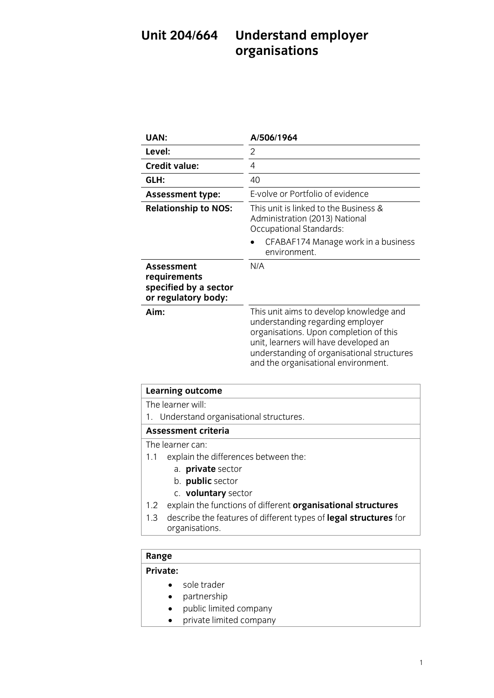## **Unit 2018 United States of the Contract of the United States (New York) organisations**

| UAN:                                                                       | A/506/1964                                                                                                                                                                                                                                          |
|----------------------------------------------------------------------------|-----------------------------------------------------------------------------------------------------------------------------------------------------------------------------------------------------------------------------------------------------|
| Level:                                                                     | $\mathfrak{D}$                                                                                                                                                                                                                                      |
| <b>Credit value:</b>                                                       | 4                                                                                                                                                                                                                                                   |
| GLH:                                                                       | 40                                                                                                                                                                                                                                                  |
| <b>Assessment type:</b>                                                    | E-volve or Portfolio of evidence                                                                                                                                                                                                                    |
| <b>Relationship to NOS:</b>                                                | This unit is linked to the Business &<br>Administration (2013) National<br>Occupational Standards:                                                                                                                                                  |
|                                                                            | CFABAF174 Manage work in a business<br>environment.                                                                                                                                                                                                 |
| Assessment<br>requirements<br>specified by a sector<br>or regulatory body: | N/A                                                                                                                                                                                                                                                 |
| Aim:                                                                       | This unit aims to develop knowledge and<br>understanding regarding employer<br>organisations. Upon completion of this<br>unit, learners will have developed an<br>understanding of organisational structures<br>and the organisational environment. |

| <b>Learning outcome</b>                  |  |
|------------------------------------------|--|
| The learner will:                        |  |
| 1. Understand organisational structures. |  |
| <b>Assessment criteria</b>               |  |
| The learner can:                         |  |
| explain the differences between the:     |  |
| a. private sector                        |  |
| b. public sector                         |  |

- c. **voluntary** sector
- 1.2 explain the functions of different **organisational structures**
- 1.3 describe the features of different types of **legal structures** for 1.3 describe the features of different types of **legal structures** for organisations.

# Range<br>**Private:**

- sole trader<br>• <u>partnorshi</u>
	- partnership
	- public limited company<br>• private limited company
	- private limited company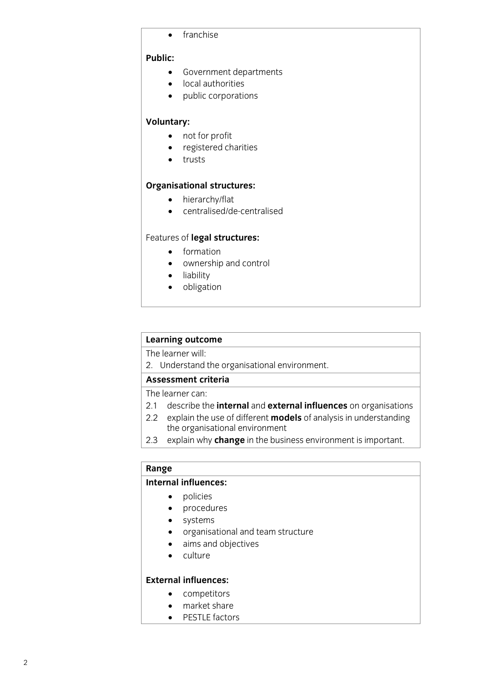• franchise

### **Public:**

- **•** Government departments<br> **•** local authorities
	- local authorities
	- public corporations

- **Voluntary:** • not for profit<br>• registered ch
	- registered charities<br>• trusts
	- trusts

- **Organisational structures:** hierarchy/flat
	- centralised/de-centralised

- 
- formation<br>• *ownership* and cont ownership and control
	- liability
	- obligation

# **Learning outcome**<br>The learner will:

The linderstand  $2.5$  Understand the organisation the organisation of  $2.5$ 

The learner can:

- 2.1 describe the internal and external influences on organisations
- 2.2 explain the use of different **models** of analysis in understanding the organisational environment
- 2.3 explain why change in the business environment is important. 2.3 explain why **change** in the business environment is important.

# **Range**<br>Internal influences:

- **Internal internal internal internal internal internal internal internal internal internal internal internal in**<br> **1** 
	- procedures
	- systems<br>• organisa
	- organisational and team structure<br>• aims and objectives
	- aims and objectives
	- culture

## **External influences:**

- **External influences:** competitors
	- market share
	- PESTLE factors